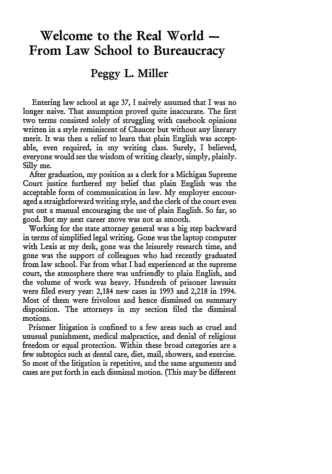## **Welcome to the Real World - From Law School to Bureaucracy**

## **Peggy L. Miller**

Entering law school at age 37, I naively assumed that I was no longer naive. That assumption proved quite inaccurate. The first two terms consisted solely of struggling with casebook opinions written in a style reminiscent of Chaucer but without any literary merit. It was then a relief to learn that plain English was acceptable, even required, in my writing class. Surely, I believed, everyone would see the wisdom of writing clearly, simply, plainly. Silly me.

After graduation, my position as a clerk for a Michigan Supreme Court justice furthered my belief that plain English was the acceptable form of communication in law. My employer encouraged a straightforward writing style, and the clerk of the court even put out a manual encouraging the use of plain English. So far, so good. But my next career move was not as smooth.

Working for the state attorney general was a big step backward in terms of simplified legal writing. Gone was the laptop computer with Lexis at my desk, gone was the leisurely research time, and gone was the support of colleagues who had recently graduated from law school. Far from what I had experienced at the supreme court, the atmosphere there was unfriendly to plain English, and the volume of work was heavy. Hundreds of prisoner lawsuits were filed every year: 2,184 new cases in 1993 and 2,218 in 1994. Most of them were frivolous and hence dismissed on summary disposition. The attorneys in my section filed the dismissal motions.

Prisoner litigation is confined to a few areas such as cruel and unusual punishment, medical malpractice, and denial of religious freedom or equal protection. Within these broad categories are a few subtopics such as dental care, diet, mail, showers, and exercise. So most of the litigation is repetitive, and the same arguments and cases are put forth in each dismissal motion. (This may be different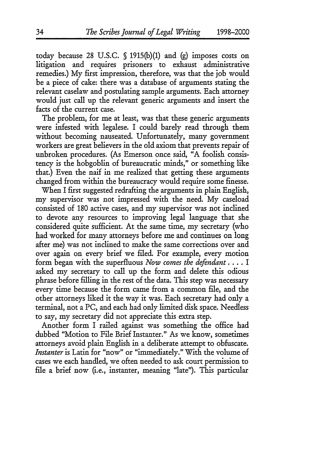today because 28 U.S.C. **§** 1915(b)(1) and (g) imposes costs on litigation and requires prisoners to exhaust administrative remedies.) My first impression, therefore, was that the job would be a piece of cake: there was a database of arguments stating the relevant caselaw and postulating sample arguments. Each attorney would just call up the relevant generic arguments and insert the facts of the current case.

The problem, for me at least, was that these generic arguments were infested with legalese. I could barely read through them without becoming nauseated. Unfortunately, many government workers are great believers in the old axiom that prevents repair of unbroken procedures. (As Emerson once said, "A foolish consistency is the hobgoblin of bureaucratic minds," or something like that.) Even the naif in me realized that getting these arguments changed from within the bureaucracy would require some finesse.

When I first suggested redrafting the arguments in plain English, my supervisor was not impressed with the need. My caseload consisted of 180 active cases, and my supervisor was not inclined to devote any resources to improving legal language that she considered quite sufficient. At the same time, my secretary (who had worked for many attorneys before me and continues on long after me) was not inclined to make the same corrections over and over again on every brief we filed. For example, every motion form began with the superfluous *Now comes the defendant ....* I asked my secretary to call up the form and delete this odious phrase before filling in the rest of the data. This step was necessary every time because the form came from a common file, and the other attorneys liked it the way it was. Each secretary had only a terminal, not a PC, and each had only limited disk space. Needless to say, my secretary did not appreciate this extra step.

Another form I railed against was something the office had dubbed "Motion to File Brief Instanter." As we know, sometimes attorneys avoid plain English in a deliberate attempt to obfuscate. *Instanter* is Latin for "now" or "immediately." With the volume of cases we each handled, we often needed to ask court permission to file a brief now (i.e., instanter, meaning "late"). This particular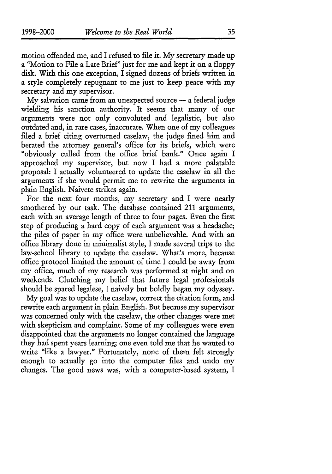motion offended me, and I refused to file it. My secretary made up a "Motion to File a Late Brief" just for me and kept it on a floppy disk. With this one exception, I signed dozens of briefs written in a style completely repugnant to me just to keep peace with my secretary and my supervisor.

 $My$  salvation came from an unexpected source  $-$  a federal judge wielding his sanction authority. It seems that many of our arguments were not only convoluted and legalistic, but also outdated and, in rare cases, inaccurate. When one of my colleagues filed a brief citing overturned caselaw, the judge fined him and berated the attorney general's office for its briefs, which were "obviously culled from the office brief bank." Once again I approached my supervisor, but now I had a more palatable proposal: I actually volunteered to update the caselaw in all the arguments if she would permit me to rewrite the arguments in plain English. Naivete strikes again.

For the next four months, my secretary and I were nearly smothered by our task. The database contained 211 arguments, each with an average length of three to four pages. Even the first step of producing a hard copy of each argument was a headache; the piles of paper in my office were unbelievable. And with an office library done in minimalit style, I made several trips to the law-school library to update the caselaw. What's more, because office protocol limited the amount of time I could be away from my office, much of my research was performed at night and on weekends. Clutching my belief that future legal professionals should be spared legalese, I naively but boldly began my odyssey.

My goal was to update the caselaw, correct the citation form, and rewrite each argument in plain English. But because my supervisor was concerned only with the caselaw, the other changes were met with skepticism and complaint. Some of my colleagues were even disappointed that the arguments no longer contained the language they had spent years learning; one even told me that he wanted to write "like a lawyer." Fortunately, none of them felt strongly enough to actually go into the computer files and undo my changes. The good news was, with a computer-based system, I